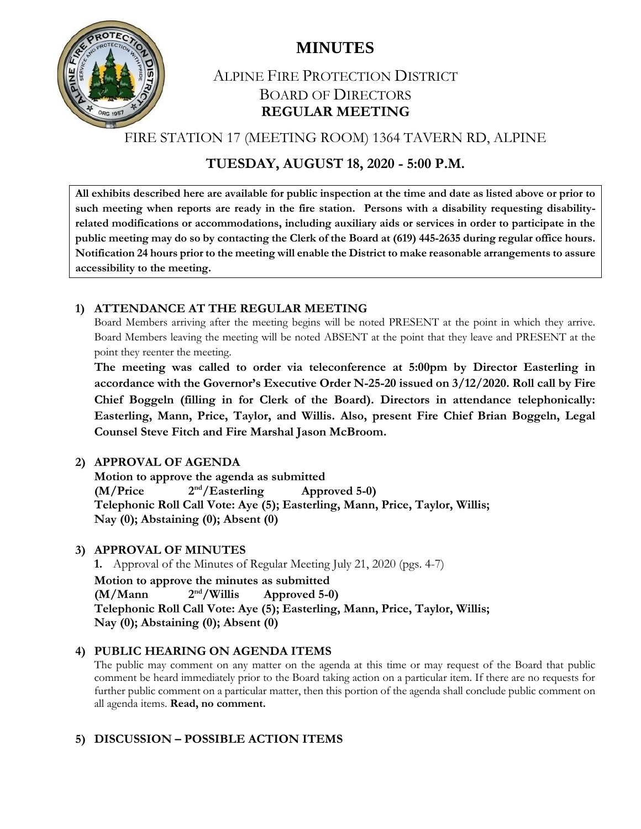

## ALPINE FIRE PROTECTION DISTRICT BOARD OF DIRECTORS **REGULAR MEETING**

FIRE STATION 17 (MEETING ROOM) 1364 TAVERN RD, ALPINE

## **TUESDAY, AUGUST 18, 2020 - 5:00 P.M.**

**All exhibits described here are available for public inspection at the time and date as listed above or prior to such meeting when reports are ready in the fire station. Persons with a disability requesting disabilityrelated modifications or accommodations, including auxiliary aids or services in order to participate in the public meeting may do so by contacting the Clerk of the Board at (619) 445-2635 during regular office hours. Notification 24 hours prior to the meeting will enable the District to make reasonable arrangements to assure accessibility to the meeting.**

## **1) ATTENDANCE AT THE REGULAR MEETING**

Board Members arriving after the meeting begins will be noted PRESENT at the point in which they arrive. Board Members leaving the meeting will be noted ABSENT at the point that they leave and PRESENT at the point they reenter the meeting.

**The meeting was called to order via teleconference at 5:00pm by Director Easterling in accordance with the Governor's Executive Order N-25-20 issued on 3/12/2020. Roll call by Fire Chief Boggeln (filling in for Clerk of the Board). Directors in attendance telephonically: Easterling, Mann, Price, Taylor, and Willis. Also, present Fire Chief Brian Boggeln, Legal Counsel Steve Fitch and Fire Marshal Jason McBroom.**

## **2) APPROVAL OF AGENDA**

**Motion to approve the agenda as submitted (M/Price 2 nd/Easterling Approved 5-0) Telephonic Roll Call Vote: Aye (5); Easterling, Mann, Price, Taylor, Willis; Nay (0); Abstaining (0); Absent (0)**

#### **3) APPROVAL OF MINUTES**

**1.** Approval of the Minutes of Regular Meeting July 21, 2020 (pgs. 4-7) **Motion to approve the minutes as submitted (M/Mann 2** Approved 5-0) **Telephonic Roll Call Vote: Aye (5); Easterling, Mann, Price, Taylor, Willis; Nay (0); Abstaining (0); Absent (0)**

## **4) PUBLIC HEARING ON AGENDA ITEMS**

The public may comment on any matter on the agenda at this time or may request of the Board that public comment be heard immediately prior to the Board taking action on a particular item. If there are no requests for further public comment on a particular matter, then this portion of the agenda shall conclude public comment on all agenda items. **Read, no comment.**

## **5) DISCUSSION – POSSIBLE ACTION ITEMS**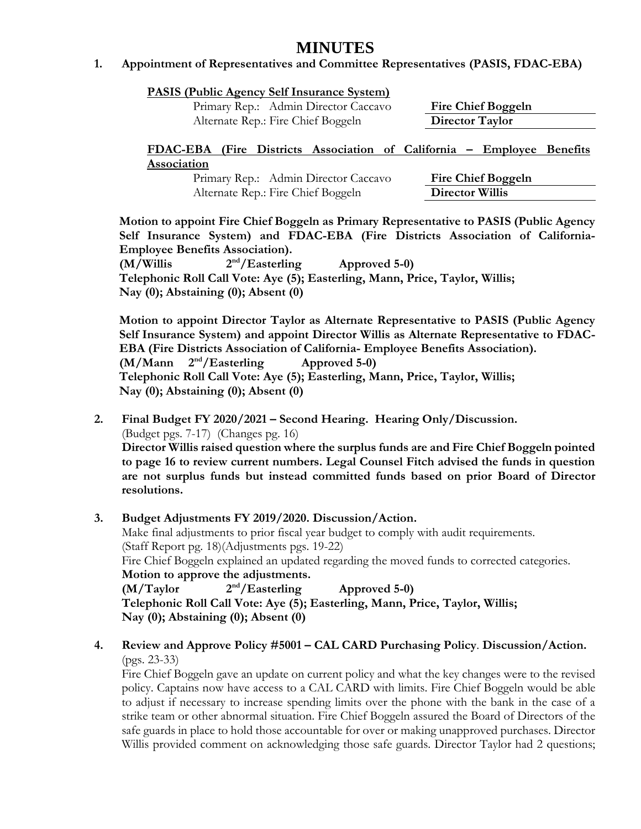#### **1. Appointment of Representatives and Committee Representatives (PASIS, FDAC-EBA)**

|  | <b>PASIS (Public Agency Self Insurance System)</b> |  |
|--|----------------------------------------------------|--|
|  |                                                    |  |

Primary Rep.: Admin Director Caccavo **Fire Chief Boggeln** Alternate Rep.: Fire Chief Boggeln **Director Taylor**

**FDAC-EBA (Fire Districts Association of California – Employee Benefits Association**

> Primary Rep.: Admin Director Caccavo **Fire Chief Boggeln** Alternate Rep.: Fire Chief Boggeln **Director Willis**

**Motion to appoint Fire Chief Boggeln as Primary Representative to PASIS (Public Agency Self Insurance System) and FDAC-EBA (Fire Districts Association of California-Employee Benefits Association).**

**(M/Willis 2** Approved 5-0) **Telephonic Roll Call Vote: Aye (5); Easterling, Mann, Price, Taylor, Willis; Nay (0); Abstaining (0); Absent (0)**

**Motion to appoint Director Taylor as Alternate Representative to PASIS (Public Agency Self Insurance System) and appoint Director Willis as Alternate Representative to FDAC-EBA (Fire Districts Association of California- Employee Benefits Association). (M/Mann 2 nd/Easterling Approved 5-0) Telephonic Roll Call Vote: Aye (5); Easterling, Mann, Price, Taylor, Willis; Nay (0); Abstaining (0); Absent (0)**

- **2. Final Budget FY 2020/2021 – Second Hearing. Hearing Only/Discussion.**  (Budget pgs. 7-17) (Changes pg. 16) **Director Willis raised question where the surplus funds are and Fire Chief Boggeln pointed to page 16 to review current numbers. Legal Counsel Fitch advised the funds in question are not surplus funds but instead committed funds based on prior Board of Director resolutions.**
- **3. Budget Adjustments FY 2019/2020. Discussion/Action.** Make final adjustments to prior fiscal year budget to comply with audit requirements. (Staff Report pg. 18)(Adjustments pgs. 19-22) Fire Chief Boggeln explained an updated regarding the moved funds to corrected categories. **Motion to approve the adjustments. (M/Taylor 2 nd/Easterling Approved 5-0) Telephonic Roll Call Vote: Aye (5); Easterling, Mann, Price, Taylor, Willis; Nay (0); Abstaining (0); Absent (0)**
- **4. Review and Approve Policy #5001 – CAL CARD Purchasing Policy**. **Discussion/Action.**  (pgs. 23-33)

Fire Chief Boggeln gave an update on current policy and what the key changes were to the revised policy. Captains now have access to a CAL CARD with limits. Fire Chief Boggeln would be able to adjust if necessary to increase spending limits over the phone with the bank in the case of a strike team or other abnormal situation. Fire Chief Boggeln assured the Board of Directors of the safe guards in place to hold those accountable for over or making unapproved purchases. Director Willis provided comment on acknowledging those safe guards. Director Taylor had 2 questions;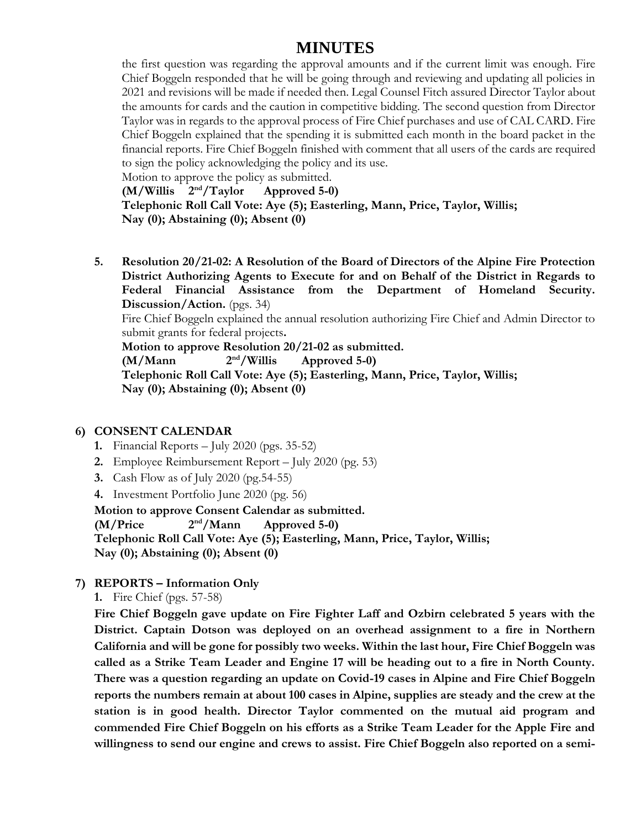the first question was regarding the approval amounts and if the current limit was enough. Fire Chief Boggeln responded that he will be going through and reviewing and updating all policies in 2021 and revisions will be made if needed then. Legal Counsel Fitch assured Director Taylor about the amounts for cards and the caution in competitive bidding. The second question from Director Taylor was in regards to the approval process of Fire Chief purchases and use of CAL CARD. Fire Chief Boggeln explained that the spending it is submitted each month in the board packet in the financial reports. Fire Chief Boggeln finished with comment that all users of the cards are required to sign the policy acknowledging the policy and its use.

Motion to approve the policy as submitted.

**(M/Willis 2** Approved 5-0) **Telephonic Roll Call Vote: Aye (5); Easterling, Mann, Price, Taylor, Willis; Nay (0); Abstaining (0); Absent (0)**

**5. Resolution 20/21-02: A Resolution of the Board of Directors of the Alpine Fire Protection District Authorizing Agents to Execute for and on Behalf of the District in Regards to Federal Financial Assistance from the Department of Homeland Security. Discussion/Action.** (pgs. 34)

Fire Chief Boggeln explained the annual resolution authorizing Fire Chief and Admin Director to submit grants for federal projects**.** 

**Motion to approve Resolution 20/21-02 as submitted.**

 $(M/Mann$   $2<sup>nd</sup>/Willis$ Approved 5-0)

**Telephonic Roll Call Vote: Aye (5); Easterling, Mann, Price, Taylor, Willis; Nay (0); Abstaining (0); Absent (0)**

#### **6) CONSENT CALENDAR**

- **1.** Financial Reports July 2020 (pgs. 35-52)
- **2.** Employee Reimbursement Report July 2020 (pg. 53)
- **3.** Cash Flow as of July 2020 (pg.54-55)
- **4.** Investment Portfolio June 2020 (pg. 56)

**Motion to approve Consent Calendar as submitted. (M/Price 2 nd/Mann Approved 5-0) Telephonic Roll Call Vote: Aye (5); Easterling, Mann, Price, Taylor, Willis; Nay (0); Abstaining (0); Absent (0)**

#### **7) REPORTS – Information Only**

**1.** Fire Chief (pgs. 57-58)

**Fire Chief Boggeln gave update on Fire Fighter Laff and Ozbirn celebrated 5 years with the District. Captain Dotson was deployed on an overhead assignment to a fire in Northern California and will be gone for possibly two weeks. Within the last hour, Fire Chief Boggeln was called as a Strike Team Leader and Engine 17 will be heading out to a fire in North County. There was a question regarding an update on Covid-19 cases in Alpine and Fire Chief Boggeln reports the numbers remain at about 100 cases in Alpine, supplies are steady and the crew at the station is in good health. Director Taylor commented on the mutual aid program and commended Fire Chief Boggeln on his efforts as a Strike Team Leader for the Apple Fire and willingness to send our engine and crews to assist. Fire Chief Boggeln also reported on a semi-**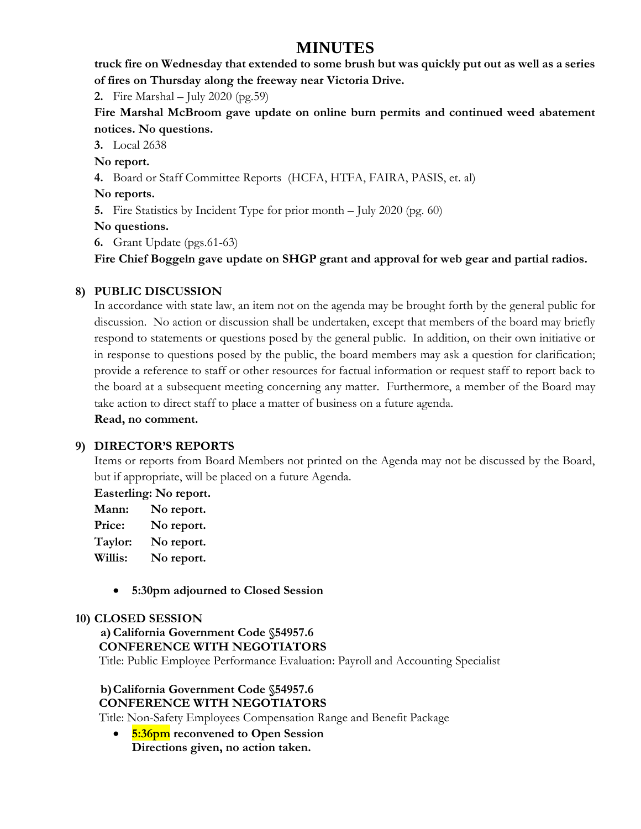**truck fire on Wednesday that extended to some brush but was quickly put out as well as a series of fires on Thursday along the freeway near Victoria Drive.** 

**2.** Fire Marshal – July 2020 (pg.59)

**Fire Marshal McBroom gave update on online burn permits and continued weed abatement notices. No questions.** 

**3.** Local 2638

**No report.**

**4.** Board or Staff Committee Reports (HCFA, HTFA, FAIRA, PASIS, et. al)

### **No reports.**

**5.** Fire Statistics by Incident Type for prior month – July 2020 (pg. 60)

### **No questions.**

**6.** Grant Update (pgs.61-63)

**Fire Chief Boggeln gave update on SHGP grant and approval for web gear and partial radios.** 

## **8) PUBLIC DISCUSSION**

In accordance with state law, an item not on the agenda may be brought forth by the general public for discussion. No action or discussion shall be undertaken, except that members of the board may briefly respond to statements or questions posed by the general public. In addition, on their own initiative or in response to questions posed by the public, the board members may ask a question for clarification; provide a reference to staff or other resources for factual information or request staff to report back to the board at a subsequent meeting concerning any matter. Furthermore, a member of the Board may take action to direct staff to place a matter of business on a future agenda.

**Read, no comment.** 

## **9) DIRECTOR'S REPORTS**

Items or reports from Board Members not printed on the Agenda may not be discussed by the Board, but if appropriate, will be placed on a future Agenda.

**Easterling: No report.**

**Mann: No report.**

**Price: No report.**

**Taylor: No report.**

**Willis: No report.**

**5:30pm adjourned to Closed Session**

#### **10) CLOSED SESSION**

 **a)California Government Code §54957.6 CONFERENCE WITH NEGOTIATORS**

Title: Public Employee Performance Evaluation: Payroll and Accounting Specialist

#### **b)California Government Code §54957.6 CONFERENCE WITH NEGOTIATORS**

Title: Non-Safety Employees Compensation Range and Benefit Package

 **5:36pm reconvened to Open Session Directions given, no action taken.**